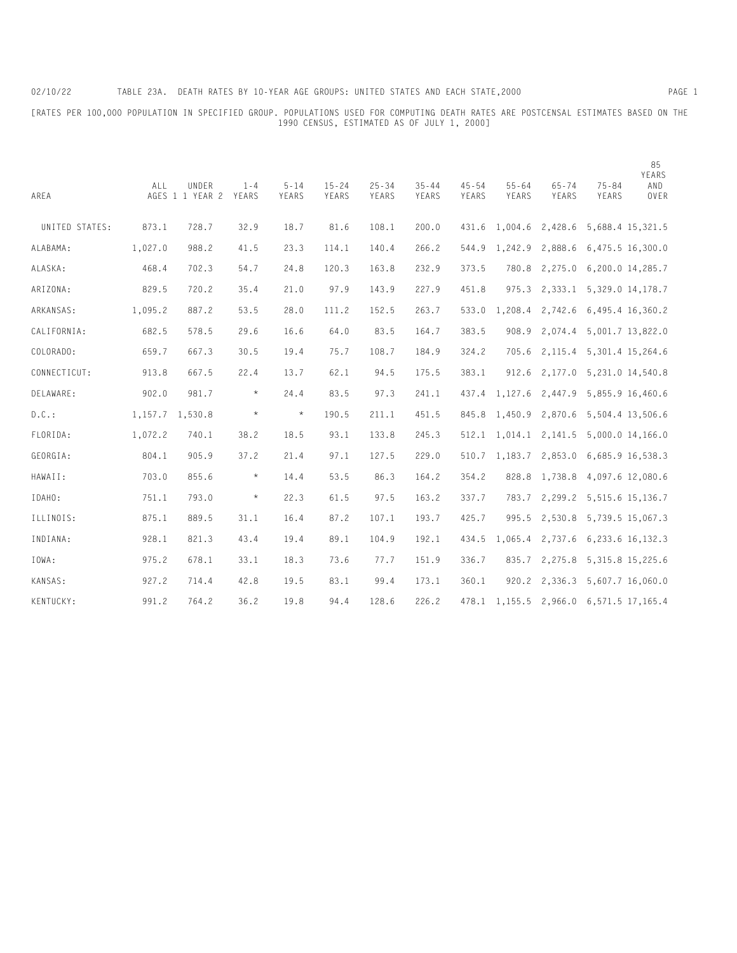[RATES PER 100,000 POPULATION IN SPECIFIED GROUP. POPULATIONS USED FOR COMPUTING DEATH RATES ARE POSTCENSAL ESTIMATES BASED ON THE 1990 CENSUS, ESTIMATED AS OF JULY 1, 2000]

| AREA           | ALL     | UNDER<br>AGES 1 1 YEAR 2 | $1 - 4$<br>YEARS | $5 - 14$<br>YEARS | $15 - 24$<br>YEARS | $25 - 34$<br>YEARS | $35 - 44$<br>YEARS | $45 - 54$<br>YEARS | $55 - 64$<br>YEARS                  | $65 - 74$<br>YEARS | $75 - 84$<br>YEARS                   | 85<br>YEARS<br>AND<br>OVER |
|----------------|---------|--------------------------|------------------|-------------------|--------------------|--------------------|--------------------|--------------------|-------------------------------------|--------------------|--------------------------------------|----------------------------|
| UNITED STATES: | 873.1   | 728.7                    | 32.9             | 18.7              | 81.6               | 108.1              | 200.0              | 431.6              | 1,004.6                             | 2,428.6            | 5,688.4 15,321.5                     |                            |
| ALABAMA:       | 1,027.0 | 988.2                    | 41.5             | 23.3              | 114.1              | 140.4              | 266.2              | 544.9              | 1,242.9                             | 2,888.6            | 6,475.5 16,300.0                     |                            |
| ALASKA:        | 468.4   | 702.3                    | 54.7             | 24.8              | 120.3              | 163.8              | 232.9              | 373.5              | 780.8                               | 2,275.0            | 6,200.0 14,285.7                     |                            |
| ARIZONA:       | 829.5   | 720.2                    | 35.4             | 21.0              | 97.9               | 143.9              | 227.9              | 451.8              | 975.3                               | 2,333.1            | 5,329.0 14,178.7                     |                            |
| ARKANSAS:      | 1,095.2 | 887.2                    | 53.5             | 28.0              | 111.2              | 152.5              | 263.7              | 533.0              | 1,208.4                             | 2,742.6            | 6,495.4 16,360.2                     |                            |
| CALIFORNIA:    | 682.5   | 578.5                    | 29.6             | 16.6              | 64.0               | 83.5               | 164.7              | 383.5              | 908.9                               | 2,074.4            | 5,001.7 13,822.0                     |                            |
| COLORADO:      | 659.7   | 667.3                    | 30.5             | 19.4              | 75.7               | 108.7              | 184.9              | 324.2              | 705.6                               | 2,115.4            | 5,301.4 15,264.6                     |                            |
| CONNECTICUT:   | 913.8   | 667.5                    | 22.4             | 13.7              | 62.1               | 94.5               | 175.5              | 383.1              | 912.6                               | 2,177.0            | 5,231.0 14,540.8                     |                            |
| DELAWARE:      | 902.0   | 981.7                    | $\star$          | 24.4              | 83.5               | 97.3               | 241.1              |                    | 437.4 1,127.6                       | 2,447.9            | 5,855.9 16,460.6                     |                            |
| $D.C.$ :       | 1,157.7 | 1,530.8                  | $\star$          | $\star$           | 190.5              | 211.1              | 451.5              | 845.8              | 1,450.9                             | 2,870.6            | 5,504.4 13,506.6                     |                            |
| FLORIDA:       | 1,072.2 | 740.1                    | 38.2             | 18.5              | 93.1               | 133.8              | 245.3              |                    | $512.1 \quad 1,014.1 \quad 2,141.5$ |                    | $5,000.0$ 14,166.0                   |                            |
| GEORGIA:       | 804.1   | 905.9                    | 37.2             | 21.4              | 97.1               | 127.5              | 229.0              | 510.7              | 1,183.7                             | 2,853.0            | 6,685.9 16,538.3                     |                            |
| HAWAII:        | 703.0   | 855.6                    | $\star$          | 14.4              | 53.5               | 86.3               | 164.2              | 354.2              | 828.8                               | 1,738.8            | 4,097.6 12,080.6                     |                            |
| IDAHO:         | 751.1   | 793.0                    | $\star$          | 22.3              | 61.5               | 97.5               | 163.2              | 337.7              | 783.7                               | 2,299.2            | 5,515.6 15,136.7                     |                            |
| ILLINOIS:      | 875.1   | 889.5                    | 31.1             | 16.4              | 87.2               | 107.1              | 193.7              | 425.7              | 995.5                               |                    | 2,530.8 5,739.5 15,067.3             |                            |
| INDIANA:       | 928.1   | 821.3                    | 43.4             | 19.4              | 89.1               | 104.9              | 192.1              | 434.5              | 1,065.4                             | 2,737.6            | 6,233.6 16,132.3                     |                            |
| IOWA:          | 975.2   | 678.1                    | 33.1             | 18.3              | 73.6               | 77.7               | 151.9              | 336.7              | 835.7                               | 2,275.8            | 5,315.8 15,225.6                     |                            |
| KANSAS:        | 927.2   | 714.4                    | 42.8             | 19.5              | 83.1               | 99.4               | 173.1              | 360.1              | 920.2                               | 2,336.3            | 5,607.7 16,060.0                     |                            |
| KENTUCKY:      | 991.2   | 764.2                    | 36.2             | 19.8              | 94.4               | 128.6              | 226.2              | 478.1              |                                     |                    | 1, 155.5 2, 966.0 6, 571.5 17, 165.4 |                            |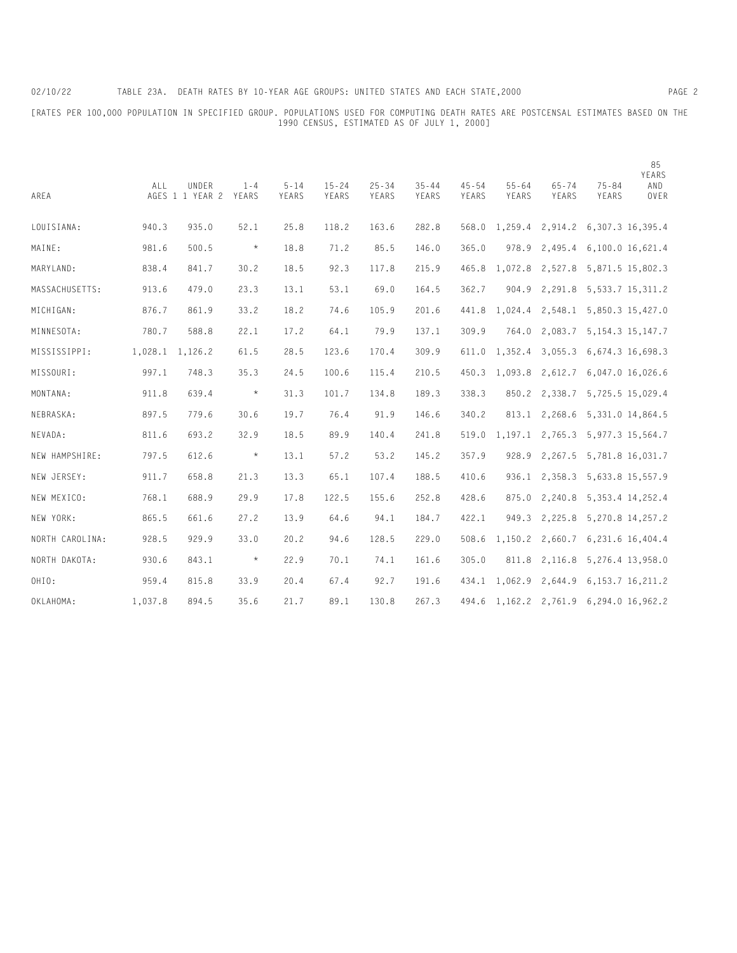[RATES PER 100,000 POPULATION IN SPECIFIED GROUP. POPULATIONS USED FOR COMPUTING DEATH RATES ARE POSTCENSAL ESTIMATES BASED ON THE 1990 CENSUS, ESTIMATED AS OF JULY 1, 2000]

| AREA            | ALL     | UNDER<br>AGES 1 1 YEAR 2 | $1 - 4$<br>YEARS | $5 - 14$<br>YEARS | $15 - 24$<br>YEARS | $25 - 34$<br>YEARS | $35 - 44$<br>YEARS | $45 - 54$<br>YEARS | $55 - 64$<br>YEARS | $65 - 74$<br>YEARS | $75 - 84$<br>YEARS                         | 85<br>YEARS<br>AND<br>OVER |
|-----------------|---------|--------------------------|------------------|-------------------|--------------------|--------------------|--------------------|--------------------|--------------------|--------------------|--------------------------------------------|----------------------------|
| LOUISIANA:      | 940.3   | 935.0                    | 52.1             | 25.8              | 118.2              | 163.6              | 282.8              |                    | 568.0 1,259.4      | 2,914.2            | 6,307.3 16,395.4                           |                            |
| MAINE:          | 981.6   | 500.5                    | $\star$          | 18.8              | 71.2               | 85.5               | 146.0              | 365.0              | 978.9              | 2,495.4            | 6,100.0 16,621.4                           |                            |
| MARYLAND:       | 838.4   | 841.7                    | 30.2             | 18.5              | 92.3               | 117.8              | 215.9              | 465.8              | 1,072.8            | 2,527.8            | 5,871.5 15,802.3                           |                            |
| MASSACHUSETTS:  | 913.6   | 479.0                    | 23.3             | 13.1              | 53.1               | 69.0               | 164.5              | 362.7              | 904.9              |                    | 2, 291.8 5, 533.7 15, 311.2                |                            |
| MICHIGAN:       | 876.7   | 861.9                    | 33.2             | 18.2              | 74.6               | 105.9              | 201.6              | 441.8              | 1,024.4            | 2,548.1            | 5,850.3 15,427.0                           |                            |
| MINNESOTA:      | 780.7   | 588.8                    | 22.1             | 17.2              | 64.1               | 79.9               | 137.1              | 309.9              | 764.0              | 2,083.7            | 5, 154.3 15, 147.7                         |                            |
| MISSISSIPPI:    | 1,028.1 | 1,126.2                  | 61.5             | 28.5              | 123.6              | 170.4              | 309.9              | 611.0              | 1,352.4            | 3,055.3            | 6,674.3 16,698.3                           |                            |
| MISSOURI:       | 997.1   | 748.3                    | 35.3             | 24.5              | 100.6              | 115.4              | 210.5              | 450.3              | 1,093.8            | 2,612.7            | 6,047.0 16,026.6                           |                            |
| MONTANA:        | 911.8   | 639.4                    | $\star$          | 31.3              | 101.7              | 134.8              | 189.3              | 338.3              | 850.2              | 2,338.7            | 5,725.5 15,029.4                           |                            |
| NEBRASKA:       | 897.5   | 779.6                    | 30.6             | 19.7              | 76.4               | 91.9               | 146.6              | 340.2              |                    | 813.1 2,268.6      | 5,331.0 14,864.5                           |                            |
| NEVADA:         | 811.6   | 693.2                    | 32.9             | 18.5              | 89.9               | 140.4              | 241.8              | 519.0              |                    |                    | 1, 197.1 2, 765.3 5, 977.3 15, 564.7       |                            |
| NEW HAMPSHIRE:  | 797.5   | 612.6                    | $\star$          | 13.1              | 57.2               | 53.2               | 145.2              | 357.9              | 928.9              |                    | 2,267.5 5,781.8 16,031.7                   |                            |
| NEW JERSEY:     | 911.7   | 658.8                    | 21.3             | 13.3              | 65.1               | 107.4              | 188.5              | 410.6              |                    |                    | 936.1 2,358.3 5,633.8 15,557.9             |                            |
| NEW MEXICO:     | 768.1   | 688.9                    | 29.9             | 17.8              | 122.5              | 155.6              | 252.8              | 428.6              | 875.0              | 2,240.8            | 5, 353.4 14, 252.4                         |                            |
| NEW YORK:       | 865.5   | 661.6                    | 27.2             | 13.9              | 64.6               | 94.1               | 184.7              | 422.1              | 949.3              | 2,225.8            | 5,270.8 14,257.2                           |                            |
| NORTH CAROLINA: | 928.5   | 929.9                    | 33.0             | 20.2              | 94.6               | 128.5              | 229.0              | 508.6              | 1,150.2            | 2,660.7            | 6,231.6 16,404.4                           |                            |
| NORTH DAKOTA:   | 930.6   | 843.1                    | $\star$          | 22.9              | 70.1               | 74.1               | 161.6              | 305.0              | 811.8              | 2,116.8            | 5,276.4 13,958.0                           |                            |
| OHIO:           | 959.4   | 815.8                    | 33.9             | 20.4              | 67.4               | 92.7               | 191.6              | 434.1              | 1,062.9            | 2,644.9            | 6, 153. 7 16, 211. 2                       |                            |
| OKLAHOMA:       | 1,037.8 | 894.5                    | 35.6             | 21.7              | 89.1               | 130.8              | 267.3              |                    |                    |                    | 494.6 1, 162.2 2, 761.9 6, 294.0 16, 962.2 |                            |